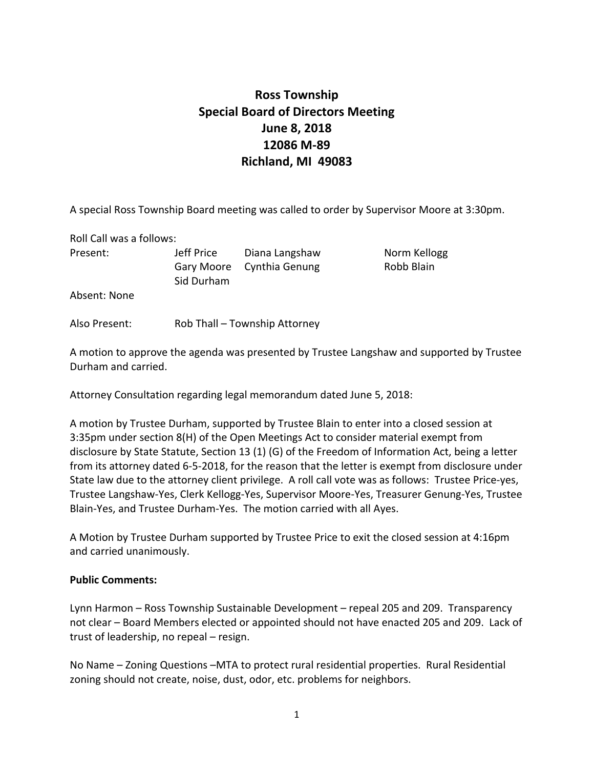## **Ross Township Special Board of Directors Meeting June 8, 2018 12086 M‐89 Richland, MI 49083**

A special Ross Township Board meeting was called to order by Supervisor Moore at 3:30pm.

Roll Call was a follows:

Present: **Solution Units:** Jeff Price **Diana Langshaw Norm Kellogg** Gary Moore Cynthia Genung **Bary Moore** Cynthia Genung Sid Durham

Absent: None

Also Present: Rob Thall – Township Attorney

A motion to approve the agenda was presented by Trustee Langshaw and supported by Trustee Durham and carried.

Attorney Consultation regarding legal memorandum dated June 5, 2018:

A motion by Trustee Durham, supported by Trustee Blain to enter into a closed session at 3:35pm under section 8(H) of the Open Meetings Act to consider material exempt from disclosure by State Statute, Section 13 (1) (G) of the Freedom of Information Act, being a letter from its attorney dated 6‐5‐2018, for the reason that the letter is exempt from disclosure under State law due to the attorney client privilege. A roll call vote was as follows: Trustee Price‐yes, Trustee Langshaw‐Yes, Clerk Kellogg‐Yes, Supervisor Moore‐Yes, Treasurer Genung‐Yes, Trustee Blain‐Yes, and Trustee Durham‐Yes. The motion carried with all Ayes.

A Motion by Trustee Durham supported by Trustee Price to exit the closed session at 4:16pm and carried unanimously.

## **Public Comments:**

Lynn Harmon – Ross Township Sustainable Development – repeal 205 and 209. Transparency not clear – Board Members elected or appointed should not have enacted 205 and 209. Lack of trust of leadership, no repeal – resign.

No Name – Zoning Questions –MTA to protect rural residential properties. Rural Residential zoning should not create, noise, dust, odor, etc. problems for neighbors.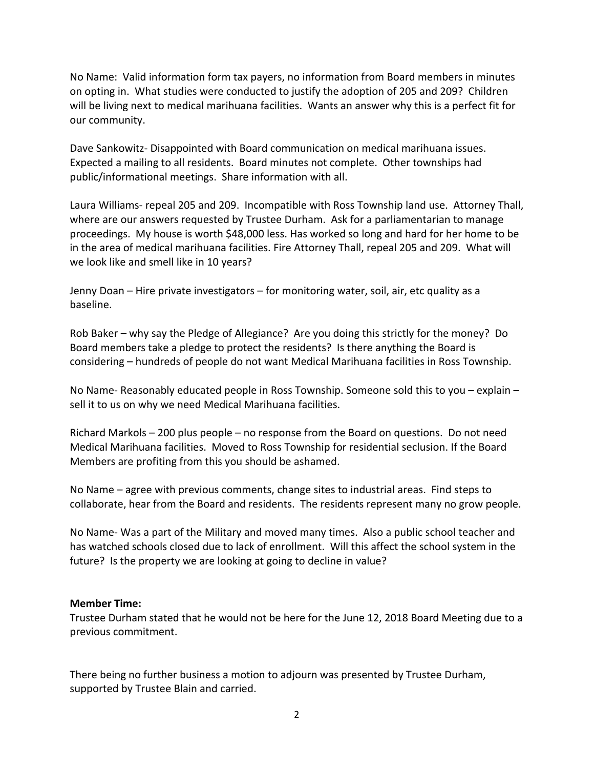No Name: Valid information form tax payers, no information from Board members in minutes on opting in. What studies were conducted to justify the adoption of 205 and 209? Children will be living next to medical marihuana facilities. Wants an answer why this is a perfect fit for our community.

Dave Sankowitz‐ Disappointed with Board communication on medical marihuana issues. Expected a mailing to all residents. Board minutes not complete. Other townships had public/informational meetings. Share information with all.

Laura Williams‐ repeal 205 and 209. Incompatible with Ross Township land use. Attorney Thall, where are our answers requested by Trustee Durham. Ask for a parliamentarian to manage proceedings. My house is worth \$48,000 less. Has worked so long and hard for her home to be in the area of medical marihuana facilities. Fire Attorney Thall, repeal 205 and 209. What will we look like and smell like in 10 years?

Jenny Doan – Hire private investigators – for monitoring water, soil, air, etc quality as a baseline.

Rob Baker – why say the Pledge of Allegiance? Are you doing this strictly for the money? Do Board members take a pledge to protect the residents? Is there anything the Board is considering – hundreds of people do not want Medical Marihuana facilities in Ross Township.

No Name‐ Reasonably educated people in Ross Township. Someone sold this to you – explain – sell it to us on why we need Medical Marihuana facilities.

Richard Markols – 200 plus people – no response from the Board on questions. Do not need Medical Marihuana facilities. Moved to Ross Township for residential seclusion. If the Board Members are profiting from this you should be ashamed.

No Name – agree with previous comments, change sites to industrial areas. Find steps to collaborate, hear from the Board and residents. The residents represent many no grow people.

No Name‐ Was a part of the Military and moved many times. Also a public school teacher and has watched schools closed due to lack of enrollment. Will this affect the school system in the future? Is the property we are looking at going to decline in value?

## **Member Time:**

Trustee Durham stated that he would not be here for the June 12, 2018 Board Meeting due to a previous commitment.

There being no further business a motion to adjourn was presented by Trustee Durham, supported by Trustee Blain and carried.